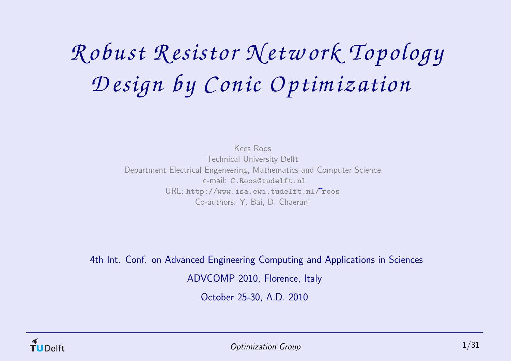# *<sup>R</sup> obust Resistor Netw ork Topology Design by <sup>C</sup> onic <sup>O</sup> ptim ization*

Kees Roos Technical University Delft Department Electrical Engeneering, Mathematics and Computer Science e-mail: C.Roos@tudelft.nl  $\mathsf{URL: \texttt{http://www.isa.euvi.tudelft.nl/''roos}}$ Co-authors: Y. Bai, D. Chaerani

4th Int. Conf. on Advanced Engineering Computing and Applications in Sciences ADVCOMP 2010, Florence, Italy

October 25-30, A.D. 2010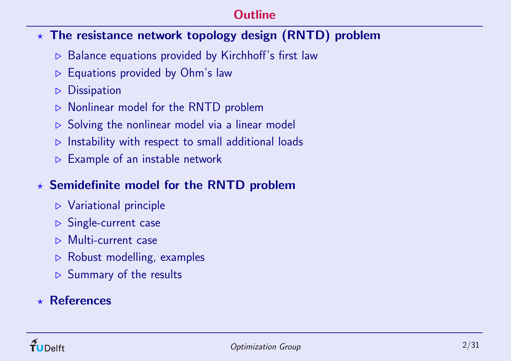# **Outline**

# $\star$  The resistance network topology design (RNTD) problem

- <sup>⊲</sup> Balance equations provided by Kirchhoff's first law
- <sup>⊲</sup> Equations provided by Ohm's law
- <sup>⊲</sup> Dissipation
- <sup>⊲</sup> Nonlinear model for the RNTD problem
- **⊳** Solving the nonlinear model via a linear model
- <sup>⊲</sup> Instability with respect to small additional loads
- <sup>⊲</sup> Example of an instable network

# $\star$  Semidefinite model for the RNTD problem

- <sup>⊲</sup> Variational principle
- **⊳ Single-current case**
- ⊲ Multi-current case
- <sup>⊲</sup> Robust modelling, examples
- <sup>⊲</sup> Summary of the results

# $\star$  References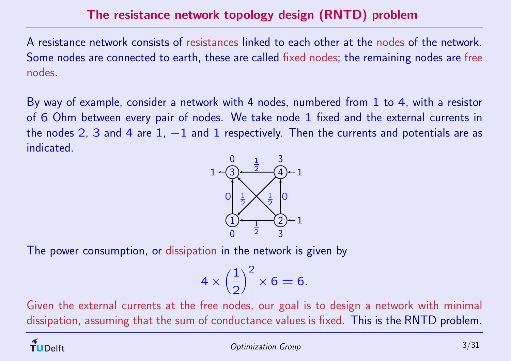A resistance network consists of resistances linked to each other at the nodes of the network. Some nodes are connected to earth, these are called fixed nodes; the remaining nodes are free nodes.

By way of example, consider <sup>a</sup> network with <sup>4</sup> nodes, numbered from 1 to 4, with <sup>a</sup> resistor of 6 Ohm between every pair of nodes. We take node 1 fixed and the external currents in the nodes 2, 3 and 4 are 1,  $-1$  and 1 respectively. Then the currents and potentials are as indicated.



The power consumption, or dissipation in the network is given by

$$
4 \times \left(\frac{1}{2}\right)^2 \times 6 = 6.
$$

Given the external currents at the free nodes, our goal is to design <sup>a</sup> network with minimal dissipation, assuming that the sum of conductance values is fixed. This is the RNTD problem.

**Delft**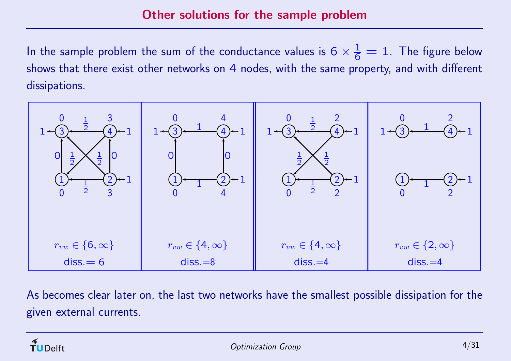In the sample problem the sum of the conductance values is  $6 \times \frac{1}{6} = 1.$  The figure below shows that there exist other networks on 4 nodes, with the same property, and with different dissipations.



As becomes clear later on, the last two networks have the smallest possible dissipation for the given external currents.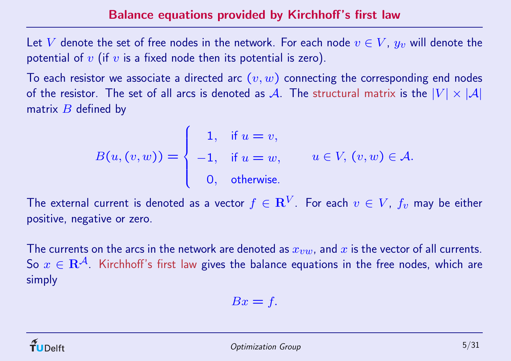Let  $V$  denote the set of free nodes in the network. For each node  $v\in V$ ,  $y_v$  will denote the potential of  $v$  (if  $v$  is a fixed node then its potential is zero).

To each resistor we associate a directed arc  $\left( v,w\right)$  connecting the corresponding end nodes of the resistor. The set of all arcs is denoted as  ${\cal A}.$  The structural matrix is the  $|V|\times |{\cal A}|$ matrix  $\overline{B}$  defined by

$$
B(u, (v, w)) = \begin{cases} 1, & \text{if } u = v, \\ -1, & \text{if } u = w, \\ 0, & \text{otherwise.} \end{cases} \quad u \in V, (v, w) \in \mathcal{A}.
$$

The external current is denoted as a vector  $f\in {\bf R}^V$  . For each  $v\, \in\, V$ ,  $f_v$  may be either positive, negative or zero.

The currents on the arcs in the network are denoted as  $x_{vw}$ , and  $x$  is the vector of all currents. So  $x\in \mathbf{R}^{\mathcal{A}}$  Kirchhoff's first law gives the balance equations in the free nodes, which are simply

$$
Bx = f.
$$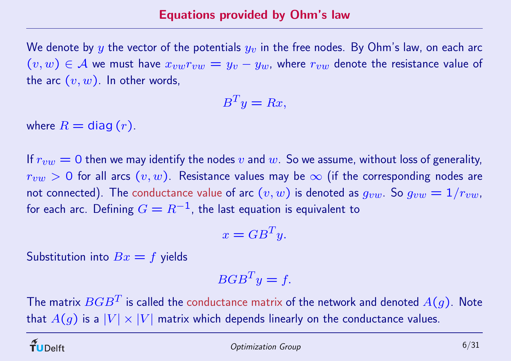We denote by  $y$  the vector of the potentials  $y_{\upsilon}$  in the free nodes. By Ohm's law, on each arc  $(v,w)\in\mathcal{A}$  we must have  $x_{vw}r_{vw}=y_v-y_w$ , where  $r_{vw}$  denote the resistance value of the arc  $\left( v,w\right) .$  In other words,

$$
B^T y = Rx,
$$

where  $R =$  diag  $(r)$ .

If  $r_{vw}=0$  then we may identify the nodes  $v$  and  $w.$  So we assume, without loss of generality,  $r_{vw}>$  0 for all arcs  $(v,w)$ . Resistance values may be  $\infty$  (if the corresponding nodes are not connected). The conductance value of arc  $(v,w)$  is denoted as  $g_{vw}$ . So  $g_{vw}=1/r_{vw}$ , for each arc. Defining  $G=R^{-1}$ , the last equation is equivalent to

$$
x = GB^T y.
$$

Substitution into  $Bx = f$  yields

$$
BGB^T y = f.
$$

The matrix  $BGB^T$  is called the conductance matrix of the network and denoted  $A(g)$ . Note that  $A(g)$  is a  $|V|\times |V|$  matrix which depends linearly on the conductance values.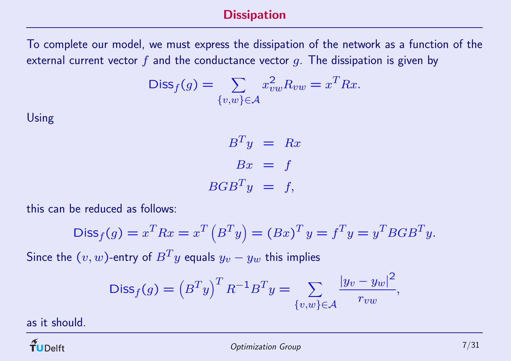### **Dissipation**

To complete our model, we must express the dissipation of the network as <sup>a</sup> function of the external current vector  $f$  and the conductance vector  $g$ . The dissipation is given by

$$
\text{Diss}_f(g) = \sum_{\{v,w\} \in \mathcal{A}} x_{vw}^2 R_{vw} = x^T R x.
$$

Using

$$
B^T y = Rx
$$

$$
Bx = f
$$

$$
BGB^T y = f,
$$

this can be reduced as follows:

$$
Diss_f(g) = x^T R x = x^T (B^T y) = (Bx)^T y = f^T y = y^T B G B^T y.
$$

Since the  $(v, w)$ -entry of  $B<sup>T</sup>y$  equals  $y_v - y_w$  this implies

$$
\text{Diss}_f(g) = \left(B^T y\right)^T R^{-1} B^T y = \sum_{\{v,w\} \in \mathcal{A}} \frac{|y_v - y_w|^2}{r_{vw}},
$$

as it should.

 $\widetilde{\mathbf{T}}$ UDelft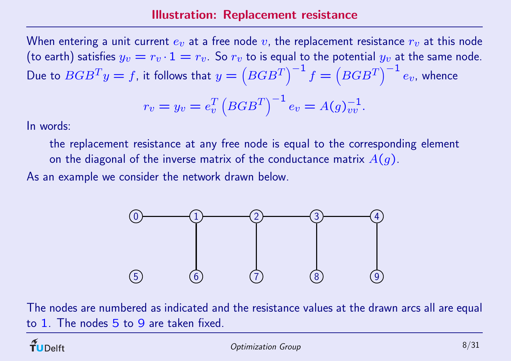When entering a unit current  $e_v$  at a free node  $v$ , the replacement resistance  $r_v$  at this node (to earth) satisfies  $y_v = r_v \cdot 1 = r_v$ . So  $r_v$  to is equal to the potential  $y_v$  at the same node. Due to  $BGB^Ty=f$ , it follows that  $y=\left(BGB^T\right)$  $\left.\rule{0pt}{12pt}\right)$ − 1  $f = \left( BGB^T \right)$  $\begin{bmatrix} 0 \\ 1 \end{bmatrix}$ − 1  $e_v$ , whence

$$
r_v = y_v = e_v^T \left( BGB^T \right)^{-1} e_v = A(g)_{vv}^{-1}.
$$

In words:

the replacement resistance at any free node is equal to the corresponding element on the diagonal of the inverse matrix of the conductance matrix  $A(g).$ 

As an example we consider the network drawn below.



The nodes are numbered as indicated and the resistance values at the drawn arcs all are equal to 1. The nodes 5 to 9 are taken fixed.

**UDelft** 

 $\Omega$  Optimization Group 8/31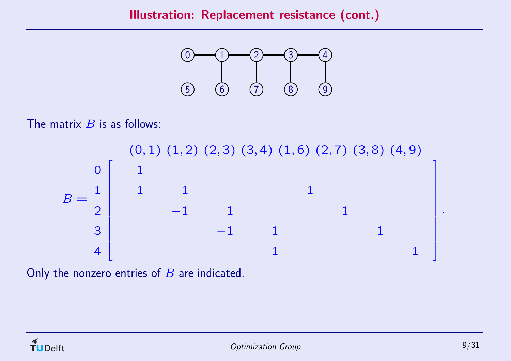

The matrix  $B$  is as follows:

 $B =$  $(0,1)$   $(1,2)$   $(2,3)$   $(3,4)$   $(1,6)$   $(2,7)$   $(3,8)$   $(4,9)$ 0 1 2 3 4  $\overline{\mathbb{I}}$  $\overline{\phantom{a}}$  $\overline{\phantom{a}}$   $\overline{\phantom{a}}$   $\overline{\phantom{a}}$   $\overline{\phantom{a}}$   $\overline{\phantom{a}}$ 1  $\begin{array}{ccccccccc} -1 & & 1 & & & & 1 \ & & -1 & & 1 & & & \end{array}$  $-1$  1  $-1$  1 1 1  $-1$  1  $1$   $\overline{\phantom{a}}$   $\overline{\phantom{a}}$  

Only the nonzero entries of  $B$  are indicated.

.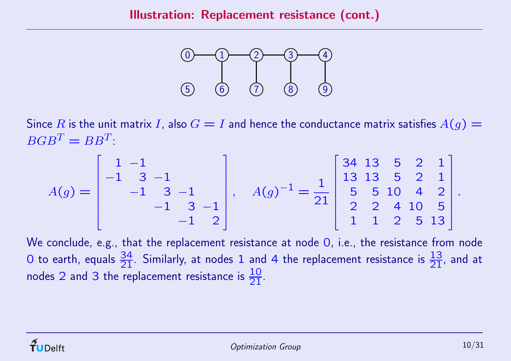

Since  $R$  is the unit matrix  $I$ , also  $G=I$  and hence the conductance matrix satisfies  $A(g)=\frac{1}{2}$  $BGB^T = BB^T$ 

$$
A(g) = \begin{bmatrix} 1 & -1 & & & \\ -1 & 3 & -1 & & \\ & -1 & 3 & -1 & \\ & & -1 & 3 & -1 \\ & & & -1 & 2 \end{bmatrix}, \quad A(g)^{-1} = \frac{1}{21} \begin{bmatrix} 34 & 13 & 5 & 2 & 1 \\ 13 & 13 & 5 & 2 & 1 \\ 5 & 5 & 10 & 4 & 2 \\ 2 & 2 & 4 & 10 & 5 \\ 1 & 1 & 2 & 5 & 13 \end{bmatrix}
$$

We conclude, e.g., that the replacement resistance at node 0, i.e., the resistance from node O to earth, equals  $\frac{34}{21}$ . Similarly, at nodes 1 and 4 the replacement resistance is  $\frac{13}{21}$ , and at nodes 2 and 3 the replacement resistance is  $\frac{10}{21}$ .

.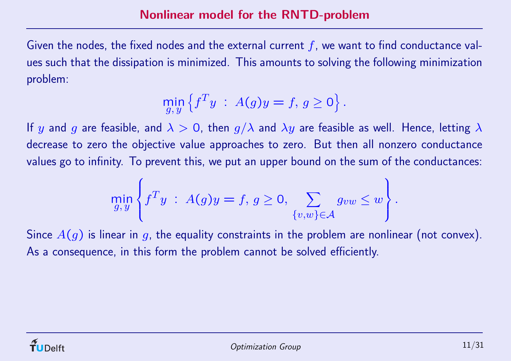Given the nodes, the fixed nodes and the external current  $f$ , we want to find conductance values such that the dissipation is minimized. This amounts to solving the following minimization problem:

$$
\min_{g,y} \left\{ f^T y \; : \; A(g)y = f, \, g \ge 0 \right\}.
$$

If  $y$  and  $g$  are feasible, and  $\lambda>0$ , then  $g/\lambda$  and  $\lambda y$  are feasible as well. Hence, letting  $\lambda$ decrease to zero the objective value approaches to zero. But then all nonzero conductance values go to infinity. To prevent this, we put an upper bound on the sum of the conductances:

$$
\min_{g,y} \left\{ f^T y \; : \; A(g)y = f, \, g \ge 0, \sum_{\{v,w\} \in \mathcal{A}} g_{vw} \le w \right\}.
$$

Since  $A(g)$  is linear in  $g$ , the equality constraints in the problem are nonlinear (not convex). As <sup>a</sup> consequence, in this form the problem cannot be solved efficiently.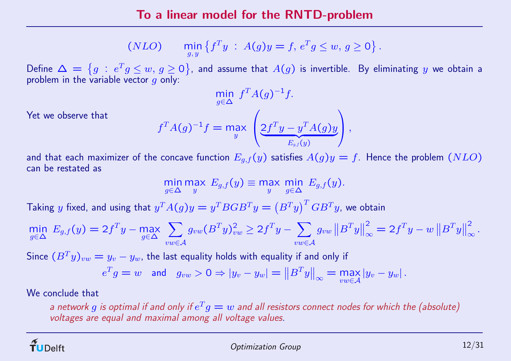(NLO) 
$$
\min_{g,y} \{f^T y : A(g)y = f, e^T g \le w, g \ge 0\}.
$$

Define  $\Delta\,=\,\big\{g\,:\,e^Tg\leq w,\,g\geq 0\big\}$ , and assume that  $A(g)$  is invertible. By eliminating  $y$  we obtain a problem in the variable vector  $g$  only:

$$
\min_{g \in \Delta} f^T A(g)^{-1} f.
$$
\nYet we observe that

\n
$$
f^T A(g)^{-1} f = \max_{y} \left( 2f^T y - y^T A(g) y \right),
$$

and that each maximizer of the concave function  $E_{g,f}(y)$  satisfies  $A(g)y=f.$  Hence the problem  $(NLO)$ can be restated as

$$
\min_{g \in \Delta} \max_y E_{g,f}(y) \equiv \max_y \min_{g \in \Delta} E_{g,f}(y).
$$

Taking y fixed, and using that  $y^T A(g)y = y^T B G B^T y = (B^T y)^T G B^T y$ , we obtain<br>
min  $E_{g,f}(y) = 2f^T y - \max_{g \in \Lambda} \sum g_{vw} (B^T y)_{vw}^2 \ge 2f^T y - \sum g_{vw} ||B^T y||_{\infty}^2 =$ 

$$
\min_{g \in \Delta} E_{g,f}(y) = 2f^{T}y - \max_{g \in \Delta} \sum_{vw \in \mathcal{A}} g_{vw} (B^{T}y)_{vw}^{2} \ge 2f^{T}y - \sum_{vw \in \mathcal{A}} g_{vw} ||B^{T}y||_{\infty}^{2} = 2f^{T}y - w ||B^{T}y||_{\infty}^{2}.
$$

Since  $(B^Ty)_{vw}=y_v-y_w$ , the last equality holds with equality if and only if

$$
e^T g = w \quad \text{and} \quad g_{vw} > 0 \Rightarrow |y_v - y_w| = ||B^T y||_{\infty} = \max_{vw \in \mathcal{A}} |y_v - y_w|.
$$

We conclude that

a network  $g$  is optimal if and only if  $e^T g = w$  and all resistors connect nodes for which the (absolute) voltages are equal and maximal among all voltage values.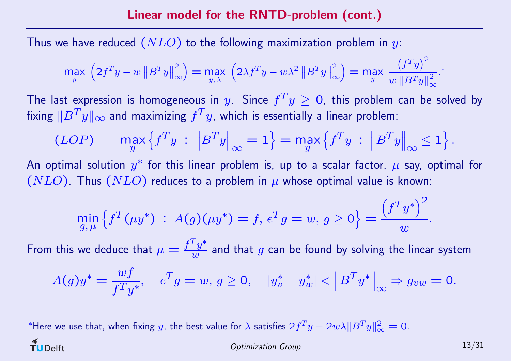Thus we have reduced  $(\mathit{NLO})$  to the following maximization problem in  $y$ :

$$
\max_{y} \left( 2f^{T}y - w \left\| B^{T}y \right\|_{\infty}^{2} \right) = \max_{y, \lambda} \left( 2\lambda f^{T}y - w\lambda^{2} \left\| B^{T}y \right\|_{\infty}^{2} \right) = \max_{y} \frac{\left( f^{T}y \right)^{2}}{w \left\| B^{T}y \right\|_{\infty}^{2}}.
$$

The last expression is homogeneous in  $y.$  Since  $f^Ty\geq 0,$  this problem can be solved by fixing  $\|B^Ty\|_\infty$  and maximizing  $f^Ty$ , which is essentially a linear problem:

$$
(LOP) \qquad \max_{y} \left\{ f^{T}y \; : \; \left\| B^{T}y \right\|_{\infty} = 1 \right\} = \max_{y} \left\{ f^{T}y \; : \; \left\| B^{T}y \right\|_{\infty} \leq 1 \right\}.
$$

An optimal solution  $y^*$  for this linear problem is, up to a scalar factor,  $\mu$  say, optimal for  $(NLO)$  . Thus  $(NLO)$  reduces to a problem in  $\mu$  whose optimal value is known:

$$
\min_{g,\,\mu} \left\{ f^T(\mu y^*) \; : \; A(g)(\mu y^*) = f, \, e^T g = w, \, g \ge 0 \right\} = \frac{\left(f^T y^*\right)^2}{w}.
$$

From this we deduce that  $\mu = \frac{f^T y^*}{w}$  $\frac{\tau y}{w}$  and that  $g$  can be found by solving the linear system

$$
A(g)y^* = \frac{wf}{f^T y^*}, \quad e^T g = w, \ g \ge 0, \quad |y_v^* - y_w^*| < \|B^T y^*\|_{\infty} \Rightarrow g_{vw} = 0.
$$

 $^*$ Here we use that, when fixing  $y$ , the best value for  $\lambda$  satisfies  $2f^Ty - 2w\lambda \|B^Ty\|_\infty^2 = 0.$  $\widetilde{\mathbf{T}}$ UDelft Optimization Group 13/31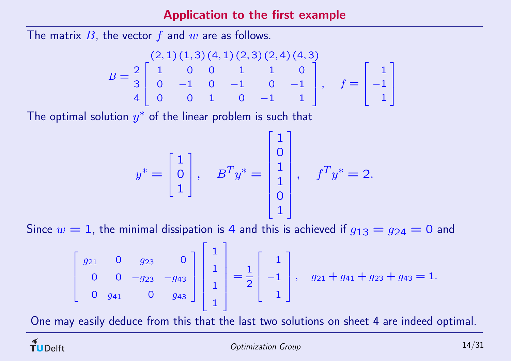Application to the first example

The matrix  $B$ , the vector  $f$  and  $w$  are as follows.

$$
B = \frac{2}{3} \begin{bmatrix} 2, 1) (1, 3) (4, 1) (2, 3) (2, 4) (4, 3) \\ 1 & 0 & 0 & 1 & 1 & 0 \\ 0 & -1 & 0 & -1 & 0 & -1 \\ 0 & 0 & 1 & 0 & -1 & 1 \end{bmatrix}, \quad f = \begin{bmatrix} 1 \\ -1 \\ 1 \end{bmatrix}
$$

The optimal solution  $y^\ast$  of the linear problem is such that

$$
y^* = \begin{bmatrix} 1 \\ 0 \\ 1 \end{bmatrix}, \quad B^T y^* = \begin{bmatrix} 1 \\ 0 \\ 1 \\ 0 \\ 1 \end{bmatrix}, \quad f^T y^* = 2.
$$

Since  $w = 1$ , the minimal dissipation is 4 and this is achieved if  $g_{13} = g_{24} = 0$  and

$$
\begin{bmatrix} g_{21} & 0 & g_{23} & 0 \ 0 & 0 & -g_{23} & -g_{43} \ 0 & g_{41} & 0 & g_{43} \end{bmatrix} \begin{bmatrix} 1 \\ 1 \\ 1 \\ 1 \end{bmatrix} = \frac{1}{2} \begin{bmatrix} 1 \\ -1 \\ 1 \end{bmatrix}, \quad g_{21} + g_{41} + g_{23} + g_{43} = 1.
$$

One may easily deduce from this that the last two solutions on sheet 4 are indeed optimal.

 $\widetilde{\mathbf{T}}$ UDelft

 $\overline{\phantom{a}}$  $\overline{\phantom{a}}$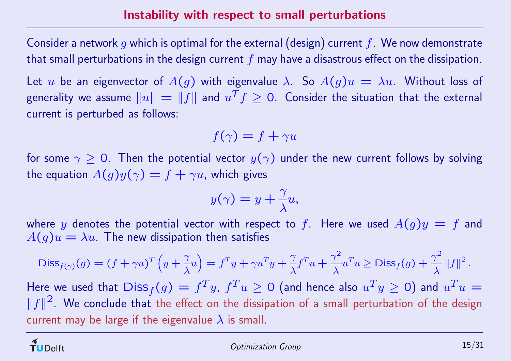Consider a network  $g$  which is optimal for the external (design) current  $f. \,$  We now demonstrate that small perturbations in the design current  $f$  may have a disastrous effect on the dissipation.

Let  $u$  be an eigenvector of  $A(g)$  with eigenvalue  $\lambda$ . So  $A(g)u = \lambda u$ . Without loss of generality we assume  $\|u\|=\|f\|$  and  $u^Tf\geq 0$  . Consider the situation that the external current is perturbed as follows:

$$
f(\gamma) = f + \gamma u
$$

for some  $\gamma\geq 0.$  Then the potential vector  $y(\gamma)$  under the new current follows by solving the equation  $A(g)y(\gamma) = f + \gamma u$ , which gives

$$
y(\gamma) = y + \frac{\gamma}{\lambda}u,
$$

where  $y$  denotes the potential vector with respect to  $f$ . Here we used  $A(g)y = f$  and  $A(g)u = \lambda u$  The new dissipation then satisfies

$$
\mathrm{Diss}_{f(\gamma)}(g) = (f + \gamma u)^T \left( y + \frac{\gamma}{\lambda} u \right) = f^T y + \gamma u^T y + \frac{\gamma}{\lambda} f^T u + \frac{\gamma^2}{\lambda} u^T u \ge \mathrm{Diss}_f(g) + \frac{\gamma^2}{\lambda} ||f||^2.
$$

Here we used that  $\mathsf{Diss}_f(g) = f^Ty, \, f^Tu \geq 0$  (and hence also  $u^Ty \geq 0$ ) and  $u^Tu =$  $||f||^2$ . We conclude that the effect on the dissipation of a small perturbation of the design current may be large if the eigenvalue  $\lambda$  is small.

 $\widetilde{\mathbf{T}}$ UDelft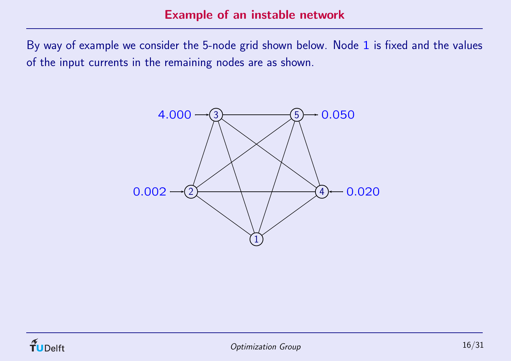By way of example we consider the 5-node grid shown below. Nod e 1 is fixed and the values of the input currents in the remaining nodes are as shown.



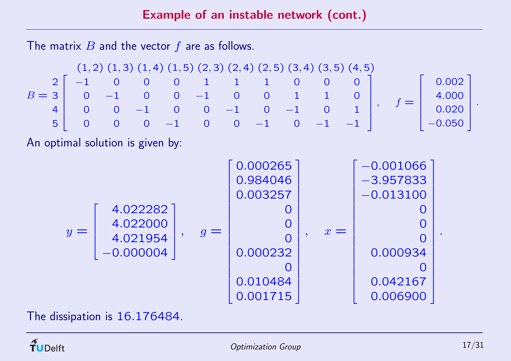The matrix  $B$  and the vector  $f$  are as follows.

$$
B = \begin{bmatrix} (1,2) (1,3) (1,4) (1,5) (2,3) (2,4) (2,5) (3,4) (3,5) (4,5) \\ 0 & 0 & 1 & 1 & 0 & 0 & 0 \\ 0 & -1 & 0 & 0 & -1 & 0 & 0 & 1 & 1 & 0 \\ 0 & 0 & -1 & 0 & 0 & -1 & 0 & 1 & 0 \\ 0 & 0 & 0 & -1 & 0 & 0 & -1 & 0 & 1 \\ 0 & 0 & 0 & -1 & 0 & 0 & -1 & -1 \end{bmatrix}, f = \begin{bmatrix} 0.002 \\ 4.000 \\ 0.020 \\ -0.050 \end{bmatrix}.
$$

An optimal solution is given by:



The dissipation is 16.176484.

.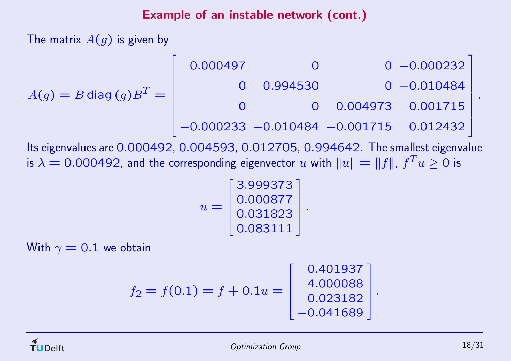The matrix  $A(g)$  is given by

| $A(g)=B$ diag $(g)B^T=\bigl\lvert$ | 0.000497 |          |                          | $0 - 0.000232$                             |
|------------------------------------|----------|----------|--------------------------|--------------------------------------------|
|                                    |          | 0.994530 |                          | $0 - 0.010484$                             |
|                                    |          |          | $0$ 0.004973 $-0.001715$ |                                            |
|                                    |          |          |                          | $-0.000233 - 0.010484 - 0.001715$ 0.012432 |

Its eigenvalues are 0.000492, 0.004593, 0.012705, 0.994642. The smallest eigenvalue is  $\lambda=0.000492$ , and the corresponding eigenvector  $u$  with  $\|u\|=\|f\|$ ,  $f^Tu\geq 0$  is

$$
u = \begin{bmatrix} 3.999373 \\ 0.000877 \\ 0.031823 \\ 0.083111 \end{bmatrix}.
$$

With  $\gamma=0.1$  we obtain

$$
f_2 = f(0.1) = f + 0.1u = \begin{bmatrix} 0.401937 \\ 4.000088 \\ 0.023182 \\ -0.041689 \end{bmatrix}
$$

.

.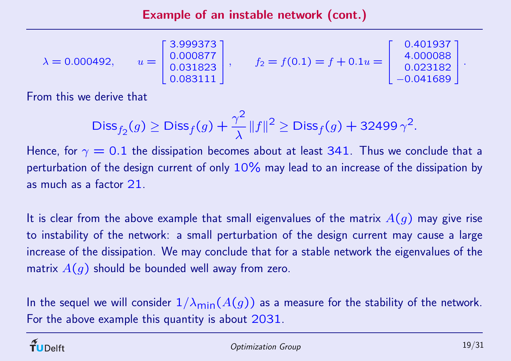Example of an instable network (cont.)

$$
\lambda = 0.000492,
$$
\n $u = \begin{bmatrix} 3.999373 \\ 0.000877 \\ 0.031823 \\ 0.083111 \end{bmatrix},$ \n $f_2 = f(0.1) = f + 0.1u = \begin{bmatrix} 0.401937 \\ 4.000088 \\ 0.023182 \\ -0.041689 \end{bmatrix}.$ 

From this we derive that

$$
\textsf{Diss}_{f_2}(g) \ge \textsf{Diss}_f(g) + \frac{\gamma^2}{\lambda} \|f\|^2 \ge \textsf{Diss}_f(g) + 32499 \gamma^2.
$$

Hence, for  $\gamma = 0.1$  the dissipation becomes about at least 341. Thus we conclude that a perturbation of the design current of only  $10\%$  may lead to an increase of the dissipation by as much as <sup>a</sup> factor 21.

It is clear from the above example that small eigenvalues of the matrix  $A(g)$  may give rise to instability of the network: <sup>a</sup> small perturbation of the design current may cause <sup>a</sup> large increase of the dissipation. We may conclude that for <sup>a</sup> stable network the eigenvalues of the matrix  $A(g)$  should be bounded well away from zero.

In the sequel we will consider  $1/\lambda_{\sf min}(A(g))$  as a measure for the stability of the network. For the above example this quantity is about 2031.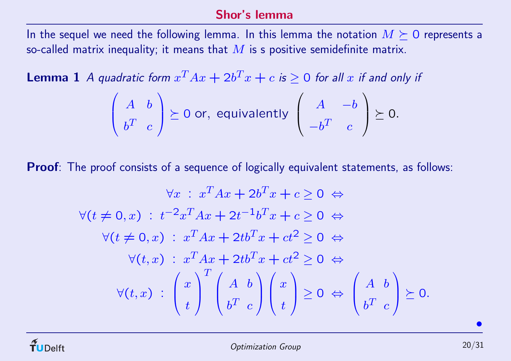### Shor's lemma

In the sequel we need the following lemma. In this lemma the notation  $M \succeq 0$  represents a so-called matrix inequality; it means that  $M$  is s positive semidefinite matrix.

**Lemma 1** A quadratic form  $x^T A x + 2b^T x + c$  is  $\geq 0$  for all x if and only if

$$
\left(\begin{array}{cc}A & b \\ b^T & c\end{array}\right)\succeq 0 \text{ or, equivalently }\left(\begin{array}{cc}A & -b \\ -b^T & c\end{array}\right)\succeq 0.
$$

Proof: The proof consists of a sequence of logically equivalent statements, as follows:

$$
\forall x : x^{T}Ax + 2b^{T}x + c \ge 0 \Leftrightarrow
$$
  

$$
\forall (t \neq 0, x) : t^{-2}x^{T}Ax + 2t^{-1}b^{T}x + c \ge 0 \Leftrightarrow
$$
  

$$
\forall (t \neq 0, x) : x^{T}Ax + 2tb^{T}x + ct^{2} \ge 0 \Leftrightarrow
$$
  

$$
\forall (t, x) : x^{T}Ax + 2tb^{T}x + ct^{2} \ge 0 \Leftrightarrow
$$
  

$$
\forall (t, x) : \begin{pmatrix} x \\ t \end{pmatrix}^{T} \begin{pmatrix} A & b \\ b^{T} & c \end{pmatrix} \begin{pmatrix} x \\ t \end{pmatrix} \ge 0 \Leftrightarrow \begin{pmatrix} A & b \\ b^{T} & c \end{pmatrix} \succeq 0.
$$

 $\bullet$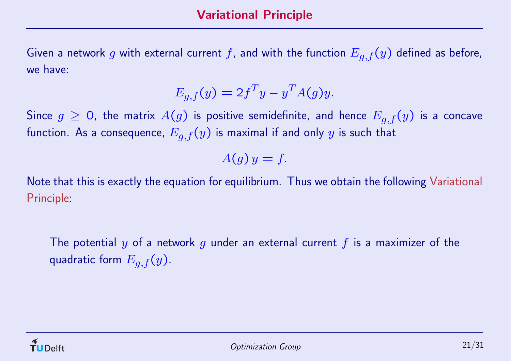Given a network g with external current f, and with the function  $E_{q,f}(y)$  defined as before, we have:

$$
E_{g,f}(y) = 2f^T y - y^T A(g) y.
$$

Since  $g \ge 0$ , the matrix  $A(g)$  is positive semidefinite, and hence  $E_{q,f}(y)$  is a concave function. As a consequence,  $E_{q,f}(y)$  is maximal if and only y is such that

$$
A(g)y=f.
$$

Note that this is exactly the equation for equilibrium. Thus we obtain the following Variational Principle:

The potential y of a network g under an external current f is a maximizer of the quadratic form  $E_{q,f}(y)$ .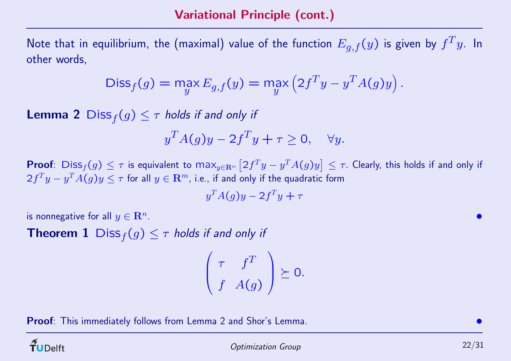Note that in equilibrium, the (maximal) value of the function  $E_{q,f}(y)$  is given by  $f^T y$ . In other words,

$$
Diss_f(g) = \max_y E_{g,f}(y) = \max_y \left( 2f^T y - y^T A(g) y \right).
$$

**Lemma 2**  $\text{Diss}_f(g) \leq \tau$  holds if and only if

$$
y^T A(g) y - 2f^T y + \tau \ge 0, \quad \forall y.
$$

 $\mathsf{Proof}\colon \operatorname{\sf{Diss}}_f(g)\leq \tau$  is equivalent to  $\max_{y\in{\bf R}^m}\big[2f^Ty-y^TA(g)y\big]\leq \tau.$  Clearly, this holds if and only if  $2f^Ty - y^TA(g)y \leq \tau$  for all  $y \in \mathbf{R}^m$ , i.e., if and only if the quadratic form

$$
y^T A(g) y - 2f^T y + \tau
$$

is nonnegative for all  $y \in \mathbf{R}^n$ .

**Theorem 1** Diss  $_f(g) \leq \tau$  holds if and only if

$$
\left(\begin{array}{cc} \tau & f^T \\ f & A(g) \end{array}\right) \succeq 0.
$$

Proof: This immediately follows from Lemma 2 and Shor's Lemma.

 $\widetilde{\mathbf{T}}$ UDelft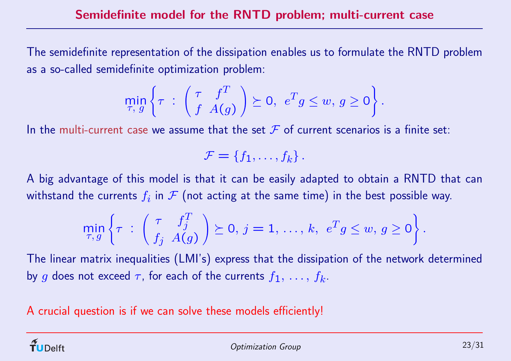The semidefinite representation of the dissipation enables us to formulate the RNTD problem as <sup>a</sup> so-called semidefinite optimization problem:

$$
\min_{\tau, g} \left\{ \tau \ : \begin{pmatrix} \tau & f^T \\ f & A(g) \end{pmatrix} \succeq 0, \ e^T g \leq w, \ g \geq 0 \right\}.
$$

In the multi-current case we assume that the set  ${\mathcal F}$  of current scenarios is a finite set:

$$
\mathcal{F} = \{f_1, \ldots, f_k\}.
$$

A big advantage of this model is that it can be easily adapted to obtain <sup>a</sup> RNTD that can withstand the currents  $f_i$  in  $\mathcal F$  (not acting at the same time) in the best possible way.

$$
\min_{\tau,g}\left\{\tau\;:\; \left(\begin{array}{cc} \tau & f_j^T \\ f_j & A(g)\end{array}\right)\succeq 0,\, j=1,\,\ldots,\,k,\;\, e^Tg\leq w,\, g\geq 0\right\}.
$$

The linear matrix inequalities (LMI's) express that the dissipation of the network determined by  $g$  does not exceed  $\tau$ , for each of the currents  $f_1,\,\ldots,\,f_k.$ 

A crucial question is if we can solve these models efficiently!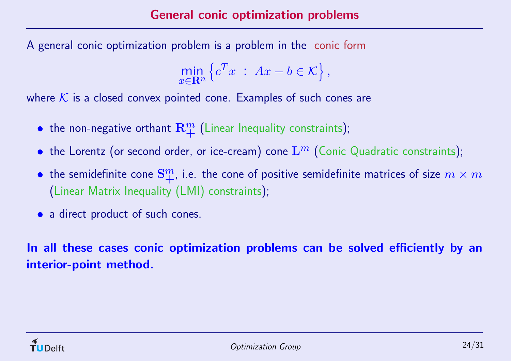A general conic optimization problem is <sup>a</sup> problem in the conic form

$$
\min_{x \in \mathbf{R}^n} \left\{ c^T x \; : \; Ax - b \in \mathcal{K} \right\},\
$$

where  ${\cal K}$  is a closed convex pointed cone. Examples of such cones are

- $\bullet\,$  the non-negative orthant  ${\bf R}^m_\pm$  $\frac{m}{+}$  (Linear Inequality constraints);
- $\bullet\,$  the Lorentz (or second order, or ice-cream) cone  ${\rm L}^{m}$  (Conic Quadratic constraints);
- $\bullet\,$  the semidefinite cone  ${\bf S}^m_+$ , i.e. the cone of positive semidefinite matrices of size  $m\times m$ (Linear Matrix Inequality (LMI) constraints);
- a direct product of such cones.

In all these cases conic optimization problems can be solved efficiently by an interior-point method.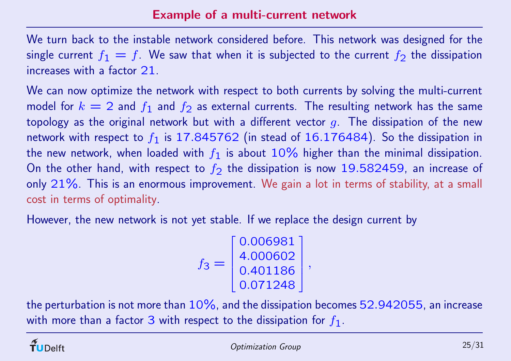We turn back to the instable network considered before. This network was designed for the single current  $f_1 = f$ . We saw that when it is subjected to the current  $f_2$  the dissipation increases with <sup>a</sup> factor 21.

We can now optimize the network with respect to both currents by solving the multi-current model for  $k=2$  and  $f_{\mathbf{1}}$  and  $f_{\mathbf{2}}$  as external currents. The resulting network has the same topology as the original network but with a different vector  $g$  . The dissipation of the new network with respect to  $f_{\bf 1}$  is  ${\bf 17.845762}$  (in stead of  ${\bf 16.176484)}$ . So the dissipation in the new network, when loaded with  $f_{\mathbf{1}}$  is about  $10\%$  higher than the minimal dissipation. On the other hand, with respect to  $f_{\mathbf{2}}$  the dissipation is now  $\mathbf{19.582459}$ , an increase of only  $21\%$ . This is an enormous improvement. We gain a lot in terms of stability, at a small cost in terms of optimality.

However, the new network is not ye<sup>t</sup> stable. If we replace the design current by

$$
f_3 = \begin{bmatrix} 0.006981 \\ 4.000602 \\ 0.401186 \\ 0.071248 \end{bmatrix},
$$

the perturbation is not more than  $10\%$ , and the dissipation becomes 52.942055, an increase with more than a factor 3 with respect to the dissipation for  $f_{\bf 1}$  .

**Delft**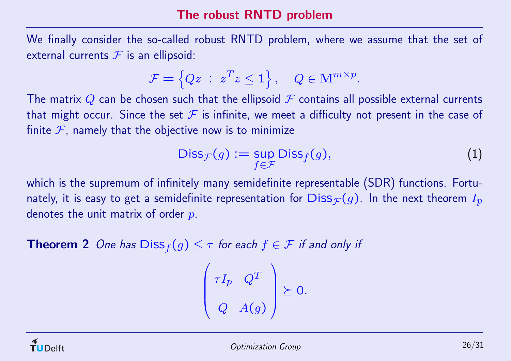### The robust RNTD problem

We finally consider the so-called robust RNTD problem, where we assume that the set of external currents  $\mathcal F$  is an ellipsoid:

$$
\mathcal{F} = \left\{ Qz \; : \; z^T z \le 1 \right\}, \quad Q \in \mathbf{M}^{m \times p}.
$$

The matrix Q can be chosen such that the ellipsoid  $\mathcal F$  contains all possible external currents that might occur. Since the set  $\mathcal F$  is infinite, we meet a difficulty not present in the case of finite  $\mathcal F$ , namely that the objective now is to minimize

$$
\mathsf{Diss}_{\mathcal{F}}(g) := \sup_{f \in \mathcal{F}} \mathsf{Diss}_f(g),\tag{1}
$$

which is the supremum of infinitely many semidefinite representable (SDR) functions. Fortunately, it is easy to get a semidefinite representation for  $\text{Diss}_{\mathcal{F}}(g)$ . In the next theorem  $I_p$ denotes the unit matrix of order  $p$ .

**Theorem 2** One has  $\text{Diss}_f(g) \leq \tau$  for each  $f \in \mathcal{F}$  if and only if

$$
\begin{pmatrix} \tau I_p & Q^T \\ Q & A(g) \end{pmatrix} \succeq 0.
$$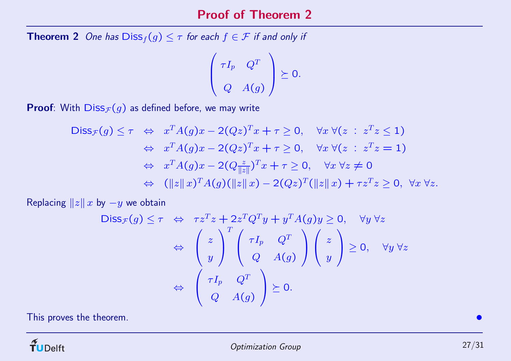#### Proof of Theorem 2

**Theorem 2** One has  $\text{Diss}_f(g) \leq \tau$  for each  $f \in \mathcal{F}$  if and only if

$$
\left(\begin{array}{cc} \tau I_p & Q^T \\ & \\ Q & A(g) \end{array}\right) \succeq 0.
$$

**Proof**: With  $\text{Diss}_{\mathcal{F}}(g)$  as defined before, we may write

$$
\begin{array}{ll}\n\text{Diss}_{\mathcal{F}}(g) \leq \tau & \Leftrightarrow & x^T A(g)x - 2(Qz)^T x + \tau \geq 0, \quad \forall x \; \forall (z \; : \; z^T z \leq 1) \\
& \Leftrightarrow & x^T A(g)x - 2(Qz)^T x + \tau \geq 0, \quad \forall x \; \forall (z \; : \; z^T z = 1) \\
& \Leftrightarrow & x^T A(g)x - 2(Q\frac{z}{\|z\|})^T x + \tau \geq 0, \quad \forall x \; \forall z \neq 0 \\
& \Leftrightarrow & (\|z\|x)^T A(g)(\|z\|x) - 2(Qz)^T(\|z\|x) + \tau z^T z \geq 0, \; \forall x \; \forall z.\n\end{array}
$$

Replacing  $||z|| x$  by  $-y$  we obtain

$$
\begin{array}{rcl}\n\mathsf{Diss}_{\mathcal{F}}(g) \leq \tau & \Leftrightarrow & \tau z^T z + 2z^T Q^T y + y^T A(g) y \geq 0, \quad \forall y \,\forall z \\
& \Leftrightarrow & \left(\begin{array}{c} z \\ y \end{array}\right)^T \left(\begin{array}{c} \tau I_p & Q^T \\ Q & A(g) \end{array}\right) \left(\begin{array}{c} z \\ y \end{array}\right) \geq 0, \quad \forall y \,\forall z \\
& \Leftrightarrow & \left(\begin{array}{c} \tau I_p & Q^T \\ Q & A(g) \end{array}\right) \succeq 0.\n\end{array}
$$

This proves the theorem.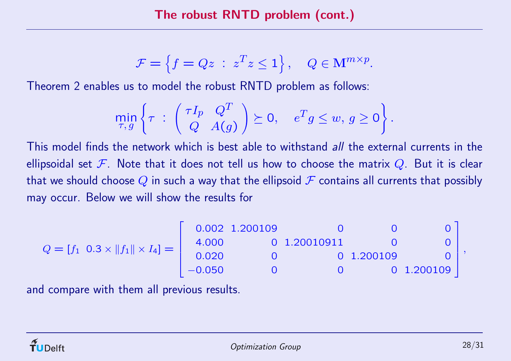$$
\mathcal{F} = \left\{ f = Qz \; : \; z^T z \le 1 \right\}, \quad Q \in \mathbf{M}^{m \times p}.
$$

Theorem 2 enables us to model the robust RNTD problem as follows:

$$
\min_{\tau,g}\left\{\tau\;:\; \left(\begin{array}{cc} \tau I_p & Q^T \\ Q & A(g)\end{array}\right)\succeq 0, \quad e^T g \leq w, \, g \geq 0\right\}.
$$

This model finds the network which is best able to withstand all the external currents in the ellipsoidal set  ${\mathcal F}.$  Note that it does not tell us how to choose the matrix  $Q.$  But it is clear that we should choose  $Q$  in such a way that the ellipsoid  ${\mathcal F}$  contains all currents that possibly may occur. Below we will show the results for

$$
Q = [f_1 \t0.3 \times ||f_1|| \times I_4] = \begin{bmatrix} 0.002 & 1.200109 & 0 & 0 & 0 \\ 4.000 & 0 & 1.20010911 & 0 & 0 \\ 0.020 & 0 & 0 & 1.200109 & 0 \\ -0.050 & 0 & 0 & 0 & 1.200109 \end{bmatrix},
$$

and compare with them all previous results.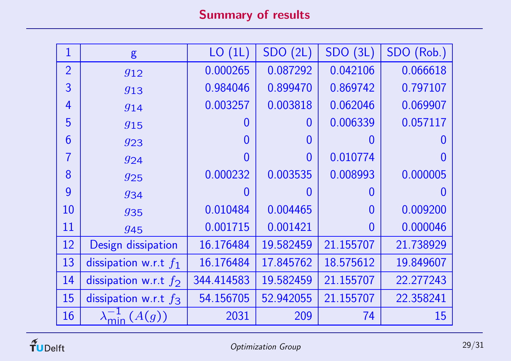# Summary of results

| $\mathbf{1}$   | g                       | LO(1L)         | SDO(2L)        | SDO(3L)        | SDO (Rob.)        |
|----------------|-------------------------|----------------|----------------|----------------|-------------------|
| $\overline{2}$ | 912                     | 0.000265       | 0.087292       | 0.042106       | 0.066618          |
| 3              | 913                     | 0.984046       | 0.899470       | 0.869742       | 0.797107          |
| $\overline{4}$ | 914                     | 0.003257       | 0.003818       | 0.062046       | 0.069907          |
| 5              | 915                     | $\overline{0}$ | $\overline{0}$ | 0.006339       | 0.057117          |
| 6              | 923                     | $\overline{0}$ | $\overline{0}$ | $\overline{0}$ | $\mathbf{\Omega}$ |
| $\overline{7}$ | 924                     | $\overline{0}$ | $\overline{0}$ | 0.010774       |                   |
| 8              | 925                     | 0.000232       | 0.003535       | 0.008993       | 0.000005          |
| 9              | 934                     | $\overline{0}$ | $\Omega$       | $\Omega$       |                   |
| <b>10</b>      | 935                     | 0.010484       | 0.004465       | $\overline{0}$ | 0.009200          |
| 11             | 945                     | 0.001715       | 0.001421       | $\overline{0}$ | 0.000046          |
| <b>12</b>      | Design dissipation      | 16.176484      | 19.582459      | 21.155707      | 21.738929         |
| 13             | dissipation w.r.t $f_1$ | 16.176484      | 17.845762      | 18.575612      | 19.849607         |
| 14             | dissipation w.r.t $f_2$ | 344.414583     | 19.582459      | 21.155707      | 22.277243         |
| 15             | dissipation w.r.t $f_3$ | 54.156705      | 52.942055      | 21.155707      | 22.358241         |
| 16             | (A(g))                  | 2031           | 209            | 74             | 15                |

 $\widetilde{\mathbf{T}}$ UDelft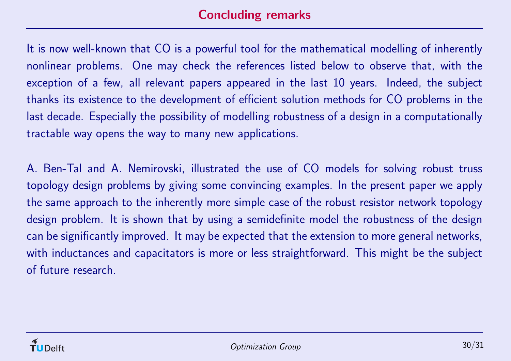It is now well-known that CO is <sup>a</sup> powerful tool for the mathematical modelling of inherently nonlinear problems. One may check the references listed below to observe that, with the exception of <sup>a</sup> few, all relevant papers appeared in the last 10 years. Indeed, the subject thanks its existence to the development of efficient solution methods for CO problems in the last decade. Especially the possibility of modelling robustness of <sup>a</sup> design in <sup>a</sup> computationally tractable way opens the way to many new applications.

A. Ben-Tal and A. Nemirovski, illustrated the use of CO models for solving robust truss topology design problems by giving some convincing examples. In the present paper we apply the same approach to the inherently more simple case of the robust resistor network topology design problem. It is shown that by using <sup>a</sup> semidefinite model the robustness of the design can be significantly improved. It may be expected that the extension to more general networks, with inductances and capacitators is more or less straightforward. This might be the subject of future research.